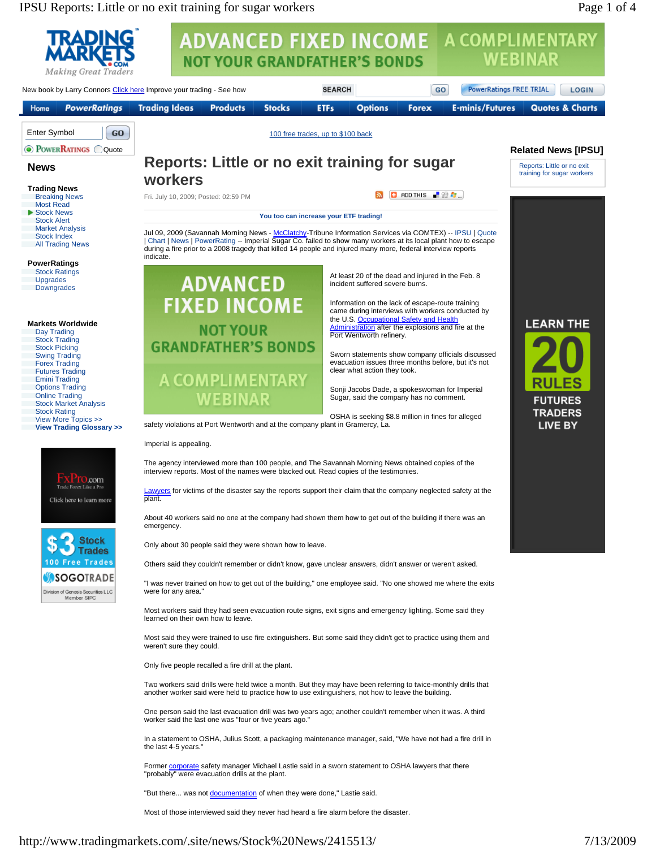IPSU Reports: Little or no exit training for sugar workers Page 1 of 4

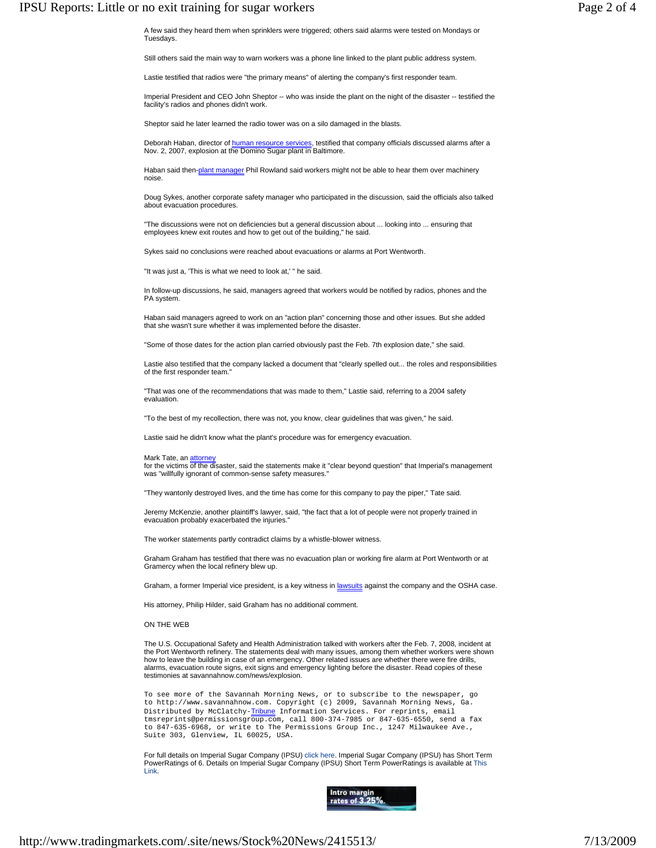A few said they heard them when sprinklers were triggered; others said alarms were tested on Mondays or Tuesdays.

Still others said the main way to warn workers was a phone line linked to the plant public address system.

Lastie testified that radios were "the primary means" of alerting the company's first responder team.

Imperial President and CEO John Sheptor -- who was inside the plant on the night of the disaster -- testified the facility's radios and phones didn't work.

Sheptor said he later learned the radio tower was on a silo damaged in the blasts.

Deborah Haban, director of <u>human resource services</u>, testified that company officials discussed alarms after a<br>Nov. 2, 2007, explosion at the Domino Sugar plant in Baltimore.

Haban said then-plant manager Phil Rowland said workers might not be able to hear them over machinery noise.

Doug Sykes, another corporate safety manager who participated in the discussion, said the officials also talked about evacuation procedures.

"The discussions were not on deficiencies but a general discussion about ... looking into ... ensuring that employees knew exit routes and how to get out of the building," he said.

Sykes said no conclusions were reached about evacuations or alarms at Port Wentworth.

"It was just a, 'This is what we need to look at,' " he said.

In follow-up discussions, he said, managers agreed that workers would be notified by radios, phones and the PA system.

Haban said managers agreed to work on an "action plan" concerning those and other issues. But she added that she wasn't sure whether it was implemented before the disaster.

"Some of those dates for the action plan carried obviously past the Feb. 7th explosion date," she said.

Lastie also testified that the company lacked a document that "clearly spelled out... the roles and responsibilities of the first responder team.

"That was one of the recommendations that was made to them," Lastie said, referring to a 2004 safety evaluation.

"To the best of my recollection, there was not, you know, clear guidelines that was given," he said.

Lastie said he didn't know what the plant's procedure was for emergency evacuation.

## Mark Tate, an **attorney**

for the victims of the disaster, said the statements make it "clear beyond question" that Imperial's management was "willfully ignorant of common-sense safety measures."

"They wantonly destroyed lives, and the time has come for this company to pay the piper," Tate said.

Jeremy McKenzie, another plaintiff's lawyer, said, "the fact that a lot of people were not properly trained in evacuation probably exacerbated the injuries."

The worker statements partly contradict claims by a whistle-blower witness.

Graham Graham has testified that there was no evacuation plan or working fire alarm at Port Wentworth or at Gramercy when the local refinery blew up.

Graham, a former Imperial vice president, is a key witness in lawsuits against the company and the OSHA case.

His attorney, Philip Hilder, said Graham has no additional comment.

## ON THE WEB

The U.S. Occupational Safety and Health Administration talked with workers after the Feb. 7, 2008, incident at the Port Wentworth refinery. The statements deal with many issues, among them whether workers were shown how to leave the building in case of an emergency. Other related issues are whether there were fire drills, alarms, evacuation route signs, exit signs and emergency lighting before the disaster. Read copies of these testimonies at savannahnow.com/news/explosion.

To see more of the Savannah Morning News, or to subscribe to the newspaper, go to http://www.savannahnow.com. Copyright (c) 2009, Savannah Morning News, Ga. Distributed by McClatchy-Tribune Information Services. For reprints, email tmsreprints@permissionsgroup.com, call 800-374-7985 or 847-635-6550, send a fax to 847-635-6968, or write to The Permissions Group Inc., 1247 Milwaukee Ave., Suite 303, Glenview, IL 60025, USA.

For full details on Imperial Sugar Company (IPSU) click here. Imperial Sugar Company (IPSU) has Short Term PowerRatings of 6. Details on Imperial Sugar Company (IPSU) Short Term PowerRatings is available at This Link.

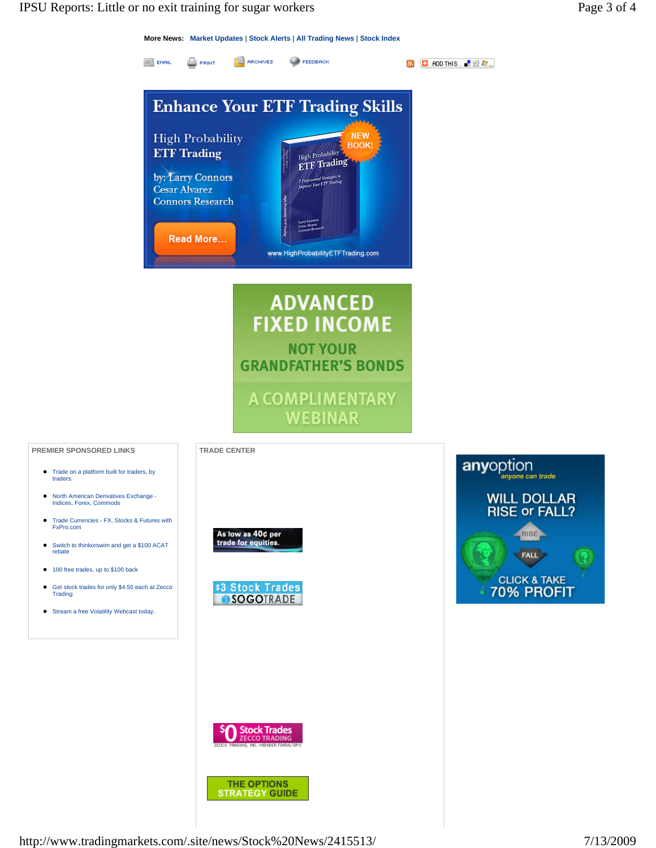**More News: Market Updates** | **Stock Alerts** | **All Trading News** | **Stock Index**



A COMPLIMENTARY **WEBINAR** 

**PREMIER SPONSORED LINKS** TRADE CENTER

- Trade on a platform built for traders, by traders.
- North American Derivatives Exchange Indices, Forex, Commods
- Trade Currencies FX, Stocks & Futures with FxPro.com
- Switch to thinkorswim and get a \$100 ACAT rebate
- $\bullet$  100 free trades, up to \$100 back
- Get stock trades for only \$4.50 each at Zecco<br>Trading
- Stream a free Volatility Webcast today.